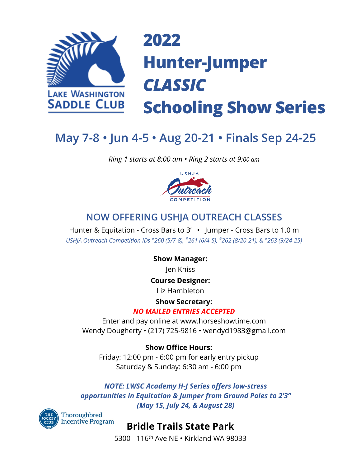

# **2022 Hunter-Jumper** *CLASSIC* **Schooling Show Series**

# **May 7-8 • Jun 4-5 • Aug 20-21 • Finals Sep 24-25**

*Ring 1 starts at 8:00 am • Ring 2 starts at 9:00 am*



# **NOW OFFERING USHJA OUTREACH CLASSES**

Hunter & Equitation - Cross Bars to 3' • Jumper - Cross Bars to 1.0 m *USHJA Outreach Competition IDs #260 (5/7-8), #261 (6/4-5), #262 (8/20-21), & #263 (9/24-25)*

**Show Manager:**

Jen Kniss

**Course Designer:**

Liz Hambleton

**Show Secretary:**

### *NO MAILED ENTRIES ACCEPTED*

Enter and pay online at www.horseshowtime.com Wendy Dougherty • (217) 725-9816 • wendyd1983@gmail.com

**Show Office Hours:**

Friday: 12:00 pm - 6:00 pm for early entry pickup Saturday & Sunday: 6:30 am - 6:00 pm

*NOTE: LWSC Academy H-J Series offers low-stress opportunities in Equitation & Jumper from Ground Poles to 2'3" (May 15, July 24, & August 28)*



**Bridle Trails State Park**

5300 - 116th Ave NE • Kirkland WA 98033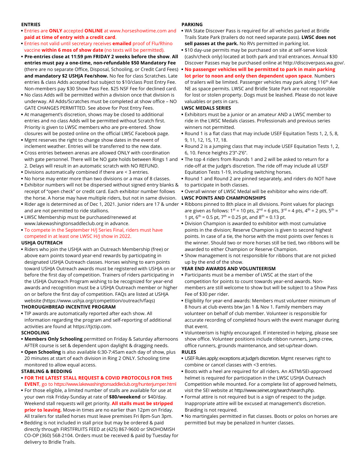#### **ENTRIES**

- § Entries are **ONLY** accepted **ONLINE** at www.horseshowtime.com and **paid at time of entry with a credit card**.
- § Entries not valid until secretary receives **emailed** proof of Flu/Rhino vaccine **within 6 mos of show date** (no texts will be permitted).
- § **Pre-entries close at 11:59 pm FRIDAY 2 weeks before the show**. **All entries must pay a one-time, non-refundable \$50 Mandatory Fee** (there are no separate Office, Disposal, Schooling, or Credit Card Fees) **and mandatory \$2 USHJA Fee/show.** No fee for class Scratches. Late entries & class Adds accepted but subject to \$10/class Post Entry Fee. Non-members pay \$30 Show Pass Fee. \$25 NSF Fee for declined card.
- § No class Adds will be permitted within a division once that division is underway. All Adds/Scratches must be completed at show office – NO GATE CHANGES PERMITTED. See above for Post Entry Fees.
- § At management's discretion, shows may be closed to additional entries and no class Adds will be permitted without Scratch first. Priority is given to LWSC members who are pre-entered. Show closures will be posted online on the official LWSC Facebook page.
- § Mgmt reserves the right to change show dates in the event of inclement weather. Entries will be transferred to the new date.
- § Cross entries between arenas are allowed ONLY with coordination with gate personnel. There will be NO gate holds between Rings 1 and § The top 4 riders from Rounds 1 and 2 will be asked to return for a 2. Delays will result in an automatic scratch with NO REFUND.
- § Divisions automatically combined if there are < 3 entries.
- § No horse may enter more than two divisions or a max of 8 classes.
- § Exhibitor numbers will not be dispersed without signed entry blanks & receipt of "open check" or credit card. Each exhibitor number follows the horse. A horse may have multiple riders, but not in same division.
- Rider age is determined as of Dec 1, 2021. Junior riders are 17 & under Ribbons pinned to 8th place in all divisions. Point values for placings and are not permitted to ride stallions.
- § LWSC Membership must be purchased/renewed at www.lakewashingtonsaddleclub.org in advance.
- § To compete in the September H/J Series Final, riders must have competed in at least one LWSC H/J show in 2022.

#### **USHJA OUTREACH**

§ Riders who join the USHJA with an Outreach Membership (free) or above earn points toward year-end rewards by participating in designated USHJA Outreach classes. Horses wishing to earn points toward USHJA Outreach awards must be registered with USHJA on or before the first day of competition. Trainers of riders participating in the USHJA Outreach Program wishing to be recognized for year-end awards and recognition must be a USHJA Outreach member or higher on or before the first day of competition. FAQs are listed at USHJA website (https://www.ushja.org/competition/outreach/faqs)

#### **THOROUGHBREAD INCENTIVE PROGRAM**

§ TIP awards are automatically reported after each show. All information regarding the program and self-reporting of additional activities are found at https://tjctip.com.

#### **SCHOOLING**

- **Members Only Schooling** permitted on Friday & Saturday afternoons AFTER course is set & dependent upon daylight & dragging needs.
- § **Open Schooling** is also available 6:30-7:45am each day of show, plus 20 minutes at start of each division in Ring 2 ONLY. Schooling time monitored to allow equal access.

#### **STABLING & BEDDING**

- **FOR THE LATEST STALL REQUEST & COVID PROTOCOLS FOR THIS EVENT**, go to https://www.lakewashingtonsaddleclub.org/hunterjumper.html
- § For those eligible, a limited number of stalls are available for use at your own risk Friday-Sunday at rate of **\$80/weekend** or \$40/day. Weekend stall requests will get priority. **All stalls must be stripped prior to leaving.** Move-in times are no earlier than 12pm on Friday. All trailers for stalled horses must leave premises Fri 8pm-Sun 3pm.
- Bedding is not included in stall price but may be ordered & paid directly through FIRSTFRUITS FEED at (425) 867-9600 or SNOHOMISH CO-OP (360) 568-2104. Orders must be received & paid by Tuesday for delivery to Bridle Trails.

#### **PARKING**

- § WA State Discover Pass is required for all vehicles parked at Bridle Trails State Park (trailers do not need separate pass). **LWSC does not sell passes at the park.** No RVs permitted in parking lot.
- § \$10 day-use permits may be purchased on site at self-serve kiosk (cash/check only) located at both park and trail entrances. Annual \$30 Discover Passes may be purchased online at http://discoverpass.wa.gov/.
- § **No passenger vehicles will be permitted to park in main parking lot prior to noon and only then dependent upon space**. Numbers of trailers will be limited. Passenger vehicles may park along 116<sup>th</sup> Ave NE as space permits. LWSC and Bridle State Park are not responsible for lost or stolen property. Dogs must be leashed. Please do not leave valuables or pets in cars.

#### **LWSC MEDALS SERIES**

- Exhibitors must be a junior or an amateur AND a LWSC member to ride in the LWSC Medals classes. Professionals and previous series winners not permitted.
- § Round 1 is a flat class that may include USEF Equitation Tests 1, 2, 5, 8, 9, 11, 12, 15, 17, 18.
- § Round 2 is a jumping class that may include USEF Equitation Tests 1, 2, 6, 10. Fence heights 2'3"-2'6".
- ride-off at the judge's discretion. The ride off may include all USEF Equitation Tests 1-19, including switching horses.
- § Round 1 and Round 2 are pinned separately, and riders do NOT have to participate in both classes.
- § Overall winner of LWSC Medal will be exhibitor who wins ride-off.

#### **LWSC POINTS AND CHAMPIONSHIPS**

- are given as follows:  $1^{st}$  = 10 pts,  $2^{nd}$  = 6 pts,  $3^{rd}$  = 4 pts,  $4^{th}$  = 2 pts,  $5^{th}$  = 1 pt,  $6^{th}$  = 0.5 pt,  $7^{th}$  = 0.25 pt, and  $8^{th}$  = 0.13 pt.
- **Division Champion is awarded to exhibitor with most cumulative** points in the division; Reserve Champion is given to second highest points. In case of a tie, the horse with the most points over fences is the winner. Should two or more horses still be tied, two ribbons will be awarded to either Champion or Reserve Champion.
- § Show management is not responsible for ribbons that are not picked up by the end of the show.

#### **YEAR END AWARDS AND VOLUNTEERISM**

- § Participants must be a member of LWSC at the start of the competition for points to count towards year-end awards. Nonmembers are still welcome to show but will be subject to a Show Pass Fee of \$30 per rider.
- **Eligibility for year-end awards: Members must volunteer minimum of** 8 hours at club events btw Jan 1 & Nov 1. Family members may volunteer on behalf of club member. Volunteer is responsible for accurate recording of completed hours with the event manager during that event.
- § Volunteerism is highly encouraged. If interested in helping, please see show office. Volunteer positions include ribbon runners, jump crew, office runners, grounds maintenance, and set-up/tear-down.

#### **RULES**

- **USEF Rules apply; exceptions at Judge's discretion. Mgmt reserves right to** combine or cancel classes with <3 entries.
- § Boots with a heel are required for all riders. An ASTM/SEI-approved helmet is required for participation in the LWSC USHJA Outreach Competition while mounted. For a complete list of approved helmets, visit the SEI website at http://www.seinet.org/search/search.php.
- § Formal attire is not required but is a sign of respect to the judge. Inappropriate attire will be excused at management's discretion. Braiding is not required.
- § No martingales permitted in flat classes. Boots or polos on horses are permitted but may be penalized in hunter classes.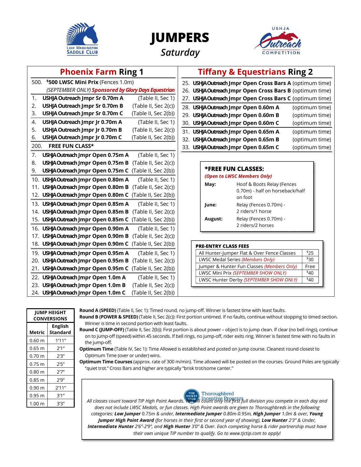





# *Saturday*

|      | <b>Phoenix Farm Ring 1</b>                          |                      |
|------|-----------------------------------------------------|----------------------|
| 500. | \$500 LWSC Mini Prix (Fences 1.0m)                  |                      |
|      | (SEPTEMBER ONLY) Sponsored by Glory Days Equestrian |                      |
| 1.   | USHJA Outreach Jmpr Sr 0.70m A                      | (Table II, Sec 1)    |
| 2.   | USHJA Outreach Jmpr Sr 0.70m B                      | (Table II, Sec 2(c)) |
| 3.   | USHJA Outreach Jmpr Sr 0.70m C                      | (Table II, Sec 2(b)) |
| 4.   | USHJA Outreach Jmpr Jr 0.70m A                      | (Table II, Sec 1)    |
| 5.   | USHJA Outreach Jmpr Jr 0.70m B                      | (Table II, Sec 2(c)) |
| 6.   | USHJA Outreach Jmpr Jr 0.70m C                      | (Table II, Sec 2(b)) |
| 200. | <b>FREE FUN CLASS*</b>                              |                      |
| 7.   | USHJA Outreach Jmpr Open 0.75m A                    | (Table II, Sec 1)    |
| 8.   | USHJA Outreach Jmpr Open 0.75m B                    | (Table II, Sec 2(c)) |
| 9.   | USHJA Outreach Jmpr Open 0.75m C                    | (Table II, Sec 2(b)) |
| 10.  | USHJA Outreach Jmpr Open 0.80m A                    | (Table II, Sec 1)    |
| 11.  | USHJA Outreach Jmpr Open 0.80m B                    | (Table II, Sec 2(c)) |
| 12.  | USHJA Outreach Jmpr Open 0.80m C                    | (Table II, Sec 2(b)) |
| 13.  | USHJA Outreach Jmpr Open 0.85m A                    | (Table II, Sec 1)    |
| 14.  | USHJA Outreach Jmpr Open 0.85m B                    | (Table II, Sec 2(c)) |
| 15.  | USHJA Outreach Jmpr Open 0.85m C                    | (Table II, Sec 2(b)) |
| 16.  | USHJA Outreach Jmpr Open 0.90m A                    | (Table II, Sec 1)    |
| 17.  | USHJA Outreach Jmpr Open 0.90m B                    | (Table II, Sec 2(c)) |
| 18.  | USHJA Outreach Jmpr Open 0.90m C                    | (Table II, Sec 2(b)) |
| 19.  | USHJA Outreach Jmpr Open 0.95m A                    | (Table II, Sec 1)    |
| 20.  | USHJA Outreach Jmpr Open 0.95m B                    | (Table II, Sec 2(c)) |
| 21.  | USHJA Outreach Jmpr Open 0.95m C                    | (Table II, Sec 2(b)) |
| 22.  | USHJA Outreach Jmpr Open 1.0m A                     | (Table II, Sec 1)    |
| 23.  | USHJA Outreach Jmpr Open 1.0m B                     | (Table II, Sec 2(c)) |
| 24.  | USHJA Outreach Jmpr Open 1.0m C                     | (Table II, Sec 2(b)) |

## **Tiffany & Equestrians Ring 2**

| 25. USHJA Outreach Jmpr Open Cross Bars A (optimum time) |                |
|----------------------------------------------------------|----------------|
| 26. USHJA Outreach Jmpr Open Cross Bars B (optimum time) |                |
| 27. USHJA Outreach Jmpr Open Cross Bars C (optimum time) |                |
| 28. USHJA Outreach Jmpr Open 0.60m A                     | (optimum time) |
| 29. USHJA Outreach Jmpr Open 0.60m B                     | (optimum time) |
| 30. USHJA Outreach Jmpr Open 0.60m C                     | (optimum time) |
| 31. USHJA Outreach Jmpr Open 0.65m A                     | (optimum time) |
| 32. USHJA Outreach Jmpr Open 0.65m B                     | (optimum time) |
| 33. USHJA Outreach Jmpr Open 0.65m C                     | (optimum time) |
|                                                          |                |

#### **\*FREE FUN CLASSES:** *(Open to LWSC Members Only)*

| May:    | Hoof & Boots Relay (Fences<br>0.70m) - half on horseback/half<br>on foot |
|---------|--------------------------------------------------------------------------|
| June:   | Relay (Fences 0.70m) -<br>2 riders/1 horse                               |
| August: | Relay (Fences 0.70m) -<br>2 riders/2 horses                              |
|         |                                                                          |

| <b>PRE-ENTRY CLASS FEES</b>                 |      |  |
|---------------------------------------------|------|--|
| All Hunter-Jumper Flat & Over Fence Classes | \$25 |  |
| LWSC Medal Series (Members Only)            | 30°  |  |
| Jumper & Hunter Fun Classes (Members Only)  | Free |  |
| LWSC Mini Prix (SEPTEMBER SHOW ONLY)        | 140  |  |
| LWSC Hunter Derby (SEPTEMBER SHOW ONLY)     | ∩4≹  |  |
|                                             |      |  |

**JUMP HEIGHT CONVERSIONS Metric English Standard**  $0.60 \text{ m}$  1'11"  $0.65 \text{ m}$  2'1"  $0.70 \text{ m}$   $2'3''$  $0.75 \text{ m}$   $2'5''$  $0.80 \text{ m}$   $2'7''$  $0.85 \text{ m}$  2'9"  $0.90 \text{ m}$   $2'11''$  $0.95 \text{ m}$   $3'1''$  $1.00 \text{ m}$   $3'3''$ 

**Round A (SPEED)** (Table II, Sec 1): Timed round, no jump-off. Winner is fastest time with least faults.

**Round B (POWER & SPEED)** (Table II, Sec 2(c)): First portion untimed. If no faults, continue without stopping to timed section. Winner is time in second portion with least faults.

**Round C (JUMP-OFF)** (Table II, Sec 2(b)): First portion is about power – object is to jump clean. If clear (no bell rings), continue on to jump-off (speed) within 45 seconds. If bell rings, no jump-off, rider exits ring. Winner is fastest time with no faults in the jump-off.

**Optimum Time** (Table IV, Sec 1): Time Allowed is established and posted on jump course. Cleanest round closest to Optimum Time (over or under) wins.

**Optimum Time Courses** (approx. rate of 300 m/min). Time allowed will be posted on the courses. Ground Poles are typically "quiet trot." Cross Bars and higher are typically "brisk trot/some canter."

Thoroughbred *All classes count toward TIP High Point Awards. TIP will count only the first full division you compete in each day and does not include LWSC Medals, or fun classes. High Point awards are given to Thoroughbreds in the following categories: Low Jumper 0.75m & under, Intermediate Jumper 0.80m-0.95m, High Jumper 1.0m & over, Young Jumper High Point Award (for horses in their first or second year of showing), Low Hunter 2'3" & Under, Intermediate Hunter 2'6"-2'9", and High Hunter 3'0" & Over. Each competing horse & rider partnership must have their own unique TIP number to qualify. Go to www.tjctip.com to apply!*